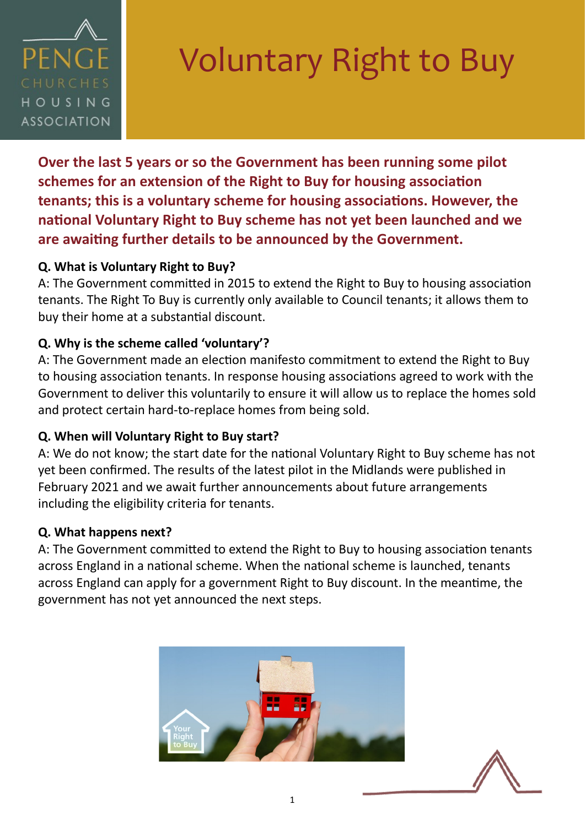

# Voluntary Right to Buy

**Over the last 5 years or so the Government has been running some pilot schemes for an extension of the Right to Buy for housing association tenants; this is a voluntary scheme for housing associations. However, the national Voluntary Right to Buy scheme has not yet been launched and we are awaiting further details to be announced by the Government.** 

#### **Q. What is Voluntary Right to Buy?**

A: The Government committed in 2015 to extend the Right to Buy to housing association tenants. The Right To Buy is currently only available to Council tenants; it allows them to buy their home at a substantial discount.

## **Q. Why is the scheme called 'voluntary'?**

A: The Government made an election manifesto commitment to extend the Right to Buy to housing association tenants. In response housing associations agreed to work with the Government to deliver this voluntarily to ensure it will allow us to replace the homes sold and protect certain hard-to-replace homes from being sold.

#### **Q. When will Voluntary Right to Buy start?**

A: We do not know; the start date for the national Voluntary Right to Buy scheme has not yet been confirmed. The results of the latest pilot in the Midlands were published in February 2021 and we await further announcements about future arrangements including the eligibility criteria for tenants.

#### **Q. What happens next?**

A: The Government committed to extend the Right to Buy to housing association tenants across England in a national scheme. When the national scheme is launched, tenants across England can apply for a government Right to Buy discount. In the meantime, the government has not yet announced the next steps.